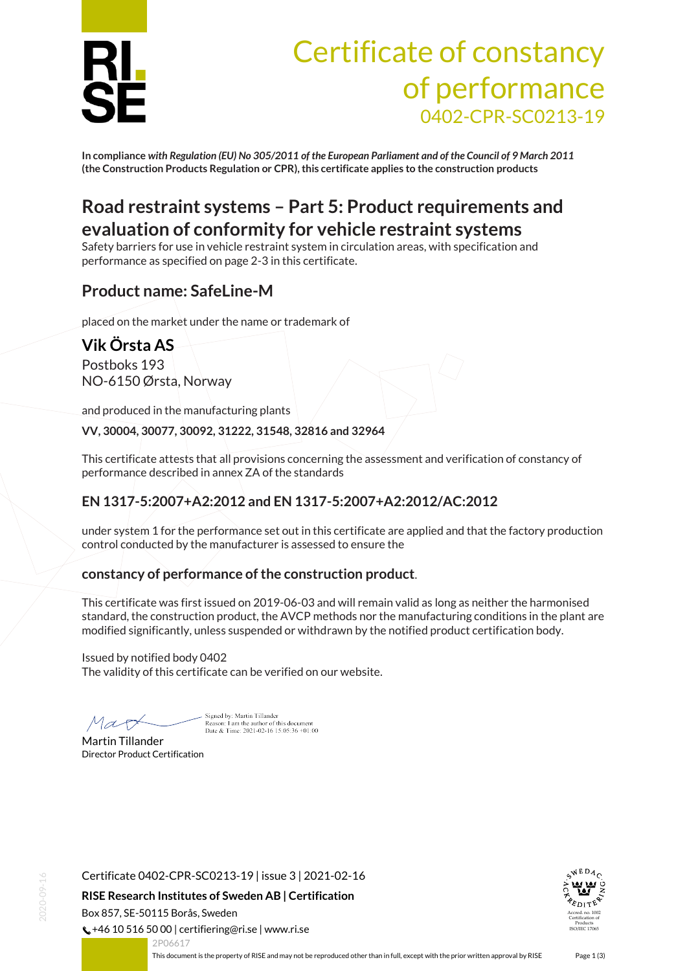

# Certificate of constancy of performance 0402-CPR-SC0213-19

**In compliance** *with Regulation (EU) No 305/2011 of the European Parliament and of the Council of 9 March 2011* **(the Construction Products Regulation or CPR), this certificate applies to the construction products**

# **Road restraint systems – Part 5: Product requirements and evaluation of conformity for vehicle restraint systems**

Safety barriers for use in vehicle restraint system in circulation areas, with specification and performance as specified on page 2-3 in this certificate.

### **Product name: SafeLine-M**

placed on the market under the name or trademark of

# **Vik Örsta AS**

Postboks 193 NO-6150 Ørsta, Norway

and produced in the manufacturing plants

**VV, 30004, 30077, 30092, 31222, 31548, 32816 and 32964**

This certificate attests that all provisions concerning the assessment and verification of constancy of performance described in annex ZA of the standards

#### **EN 1317-5:2007+A2:2012 and EN 1317-5:2007+A2:2012/AC:2012**

under system 1 for the performance set out in this certificate are applied and that the factory production control conducted by the manufacturer is assessed to ensure the

#### **constancy of performance of the construction product**.

This certificate was first issued on 2019-06-03 and will remain valid as long as neither the harmonised standard, the construction product, the AVCP methods nor the manufacturing conditions in the plant are modified significantly, unless suspended or withdrawn by the notified product certification body.

Issued by notified body 0402 The validity of this certificate can be verified on our website.

 $MaxF$ 

Signed by: Martin Tillander Reason: I am the author of this document Date & Time: 2021-02-16 15:05:36 +01:00

Martin Tillander Director Product Certification



**RISE Research Institutes of Sweden AB | Certification**

Box 857, SE-50115 Borås, Sweden

 $\binom{1}{2}$  +46 10 516 50 00 | certifiering@ri.se | www.ri.se



<span id="page-0-0"></span>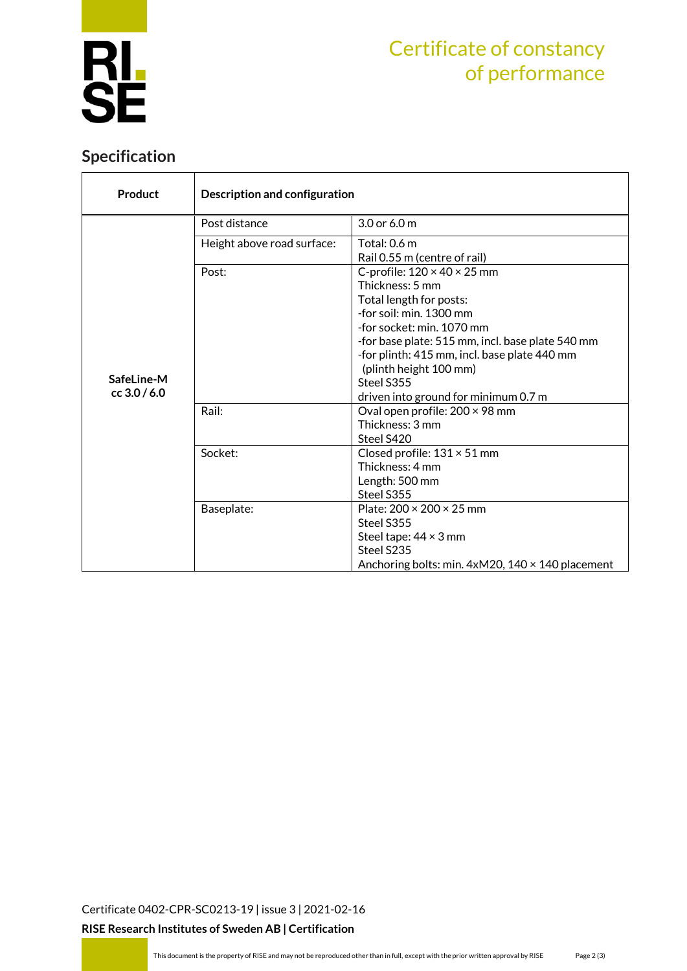

# Certificate of constancy of performance

### **Specification**

| Product                      | Description and configuration |                                                                                                                                                                                                                                                                                                                                   |  |  |
|------------------------------|-------------------------------|-----------------------------------------------------------------------------------------------------------------------------------------------------------------------------------------------------------------------------------------------------------------------------------------------------------------------------------|--|--|
|                              | Post distance                 | 3.0 or 6.0 m                                                                                                                                                                                                                                                                                                                      |  |  |
| SafeLine-M<br>$cc$ 3.0 / 6.0 | Height above road surface:    | Total: 0.6 m<br>Rail 0.55 m (centre of rail)                                                                                                                                                                                                                                                                                      |  |  |
|                              | Post:                         | C-profile: $120 \times 40 \times 25$ mm<br>Thickness: 5 mm<br>Total length for posts:<br>-for soil: min. 1300 mm<br>-for socket: min. 1070 mm<br>-for base plate: 515 mm, incl. base plate 540 mm<br>-for plinth: 415 mm, incl. base plate 440 mm<br>(plinth height 100 mm)<br>Steel S355<br>driven into ground for minimum 0.7 m |  |  |
|                              | Rail:                         | Oval open profile: 200 × 98 mm<br>Thickness: 3 mm<br>Steel S420                                                                                                                                                                                                                                                                   |  |  |
|                              | Socket:                       | Closed profile: $131 \times 51$ mm<br>Thickness: 4 mm<br>Length: 500 mm<br>Steel S355                                                                                                                                                                                                                                             |  |  |
|                              | Baseplate:                    | Plate: $200 \times 200 \times 25$ mm<br>Steel S355<br>Steel tape: $44 \times 3$ mm<br>Steel S235<br>Anchoring bolts: min. $4xM20$ , $140 \times 140$ placement                                                                                                                                                                    |  |  |

[Certificate 0402-CPR-SC0213-19](#page-0-0) | issue 3 | 2021-02-16

**RISE Research Institutes of Sweden AB | Certification**